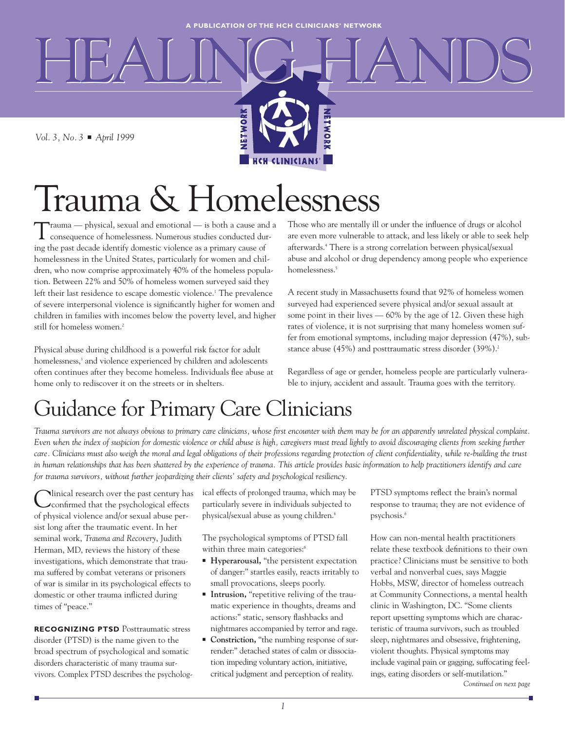HEALING HANDS

**HCH CLINICIANS'** 

**HETWOR** 

*Vol. 3, No. 3* ■ *April 1999*

# Trauma & Homelessness

NETWORK

Trauma — physical, sexual and emotional — is both a cause and a consequence of homelessness. Numerous studies conducted during the past decade identify domestic violence as a primary cause of homelessness in the United States, particularly for women and children, who now comprise approximately 40% of the homeless population. Between 22% and 50% of homeless women surveyed said they left their last residence to escape domestic violence.<sup>1</sup> The prevalence of severe interpersonal violence is significantly higher for women and children in families with incomes below the poverty level, and higher still for homeless women.<sup>2</sup>

Physical abuse during childhood is a powerful risk factor for adult homelessness,<sup>3</sup> and violence experienced by children and adolescents often continues after they become homeless. Individuals flee abuse at home only to rediscover it on the streets or in shelters.

Those who are mentally ill or under the influence of drugs or alcohol are even more vulnerable to attack, and less likely or able to seek help afterwards.4 There is a strong correlation between physical/sexual abuse and alcohol or drug dependency among people who experience homelessness.<sup>5</sup>

A recent study in Massachusetts found that 92% of homeless women surveyed had experienced severe physical and/or sexual assault at some point in their lives — 60% by the age of 12. Given these high rates of violence, it is not surprising that many homeless women suffer from emotional symptoms, including major depression (47%), substance abuse (45%) and posttraumatic stress disorder (39%).<sup>2</sup>

Regardless of age or gender, homeless people are particularly vulnerable to injury, accident and assault. Trauma goes with the territory.

### Guidance for Primary Care Clinicians

*Trauma survivors are not always obvious to primary care clinicians, whose first encounter with them may be for an apparently unrelated physical complaint. Even when the index of suspicion for domestic violence or child abuse is high, caregivers must tread lightly to avoid discouraging clients from seeking further care. Clinicians must also weigh the moral and legal obligations of their professions regarding protection of client confidentiality, while re-building the trust in human relationships that has been shattered by the experience of trauma. This article provides basic information to help practitioners identify and care for trauma survivors, without further jeopardizing their clients' safety and psychological resiliency.*

Ninical research over the past century has confirmed that the psychological effects of physical violence and/or sexual abuse persist long after the traumatic event. In her seminal work, *Trauma and Recovery*, Judith Herman, MD, reviews the history of these investigations, which demonstrate that trauma suffered by combat veterans or prisoners of war is similar in its psychological effects to domestic or other trauma inflicted during times of "peace."

**RECOGNIZING PTSD** Posttraumatic stress disorder (PTSD) is the name given to the broad spectrum of psychological and somatic disorders characteristic of many trauma survivors. Complex PTSD describes the psychological effects of prolonged trauma, which may be particularly severe in individuals subjected to physical/sexual abuse as young children.6

The psychological symptoms of PTSD fall within three main categories:<sup>6</sup>

- **Hyperarousal,** "the persistent expectation of danger:" startles easily, reacts irritably to small provocations, sleeps poorly.
- **Intrusion,** "repetitive reliving of the traumatic experience in thoughts, dreams and actions:" static, sensory flashbacks and nightmares accompanied by terror and rage.
- **Constriction,** "the numbing response of surrender:" detached states of calm or dissociation impeding voluntary action, initiative, critical judgment and perception of reality.

PTSD symptoms reflect the brain's normal response to trauma; they are not evidence of psychosis.6

How can non-mental health practitioners relate these textbook definitions to their own practice? Clinicians must be sensitive to both verbal and nonverbal cues, says Maggie Hobbs, MSW, director of homeless outreach at Community Connections, a mental health clinic in Washington, DC. "Some clients report upsetting symptoms which are characteristic of trauma survivors, such as troubled sleep, nightmares and obsessive, frightening, violent thoughts. Physical symptoms may include vaginal pain or gagging, suffocating feelings, eating disorders or self-mutilation."

*Continued on next page*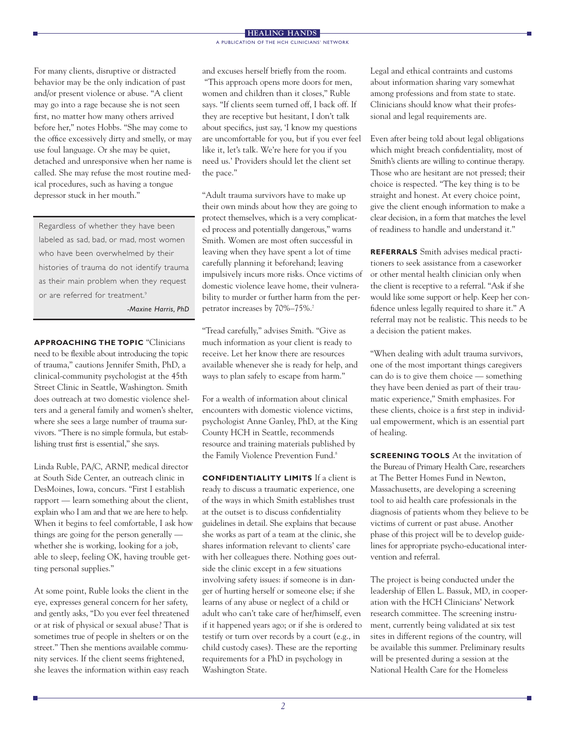For many clients, disruptive or distracted behavior may be the only indication of past and/or present violence or abuse. "A client may go into a rage because she is not seen first, no matter how many others arrived before her," notes Hobbs. "She may come to the office excessively dirty and smelly, or may use foul language. Or she may be quiet, detached and unresponsive when her name is called. She may refuse the most routine medical procedures, such as having a tongue depressor stuck in her mouth."

Regardless of whether they have been labeled as sad, bad, or mad, most women who have been overwhelmed by their histories of trauma do not identify trauma as their main problem when they request or are referred for treatment.<sup>9</sup>

*-Maxine Harris, PhD*

**APPROACHING THE TOPIC** "Clinicians need to be flexible about introducing the topic of trauma," cautions Jennifer Smith, PhD, a clinical-community psychologist at the 45th Street Clinic in Seattle, Washington. Smith does outreach at two domestic violence shelters and a general family and women's shelter, where she sees a large number of trauma survivors. "There is no simple formula, but establishing trust first is essential," she says.

Linda Ruble, PA/C, ARNP, medical director at South Side Center, an outreach clinic in DesMoines, Iowa, concurs. "First I establish rapport — learn something about the client, explain who I am and that we are here to help. When it begins to feel comfortable, I ask how things are going for the person generally whether she is working, looking for a job, able to sleep, feeling OK, having trouble getting personal supplies."

At some point, Ruble looks the client in the eye, expresses general concern for her safety, and gently asks, "Do you ever feel threatened or at risk of physical or sexual abuse? That is sometimes true of people in shelters or on the street." Then she mentions available community services. If the client seems frightened, she leaves the information within easy reach

and excuses herself briefly from the room. "This approach opens more doors for men, women and children than it closes," Ruble says. "If clients seem turned off, I back off. If they are receptive but hesitant, I don't talk about specifics, just say, 'I know my questions are uncomfortable for you, but if you ever feel like it, let's talk. We're here for you if you need us.' Providers should let the client set the pace."

"Adult trauma survivors have to make up their own minds about how they are going to protect themselves, which is a very complicated process and potentially dangerous," warns Smith. Women are most often successful in leaving when they have spent a lot of time carefully planning it beforehand; leaving impulsively incurs more risks. Once victims of domestic violence leave home, their vulnerability to murder or further harm from the perpetrator increases by 70%–75%.7

"Tread carefully," advises Smith. "Give as much information as your client is ready to receive. Let her know there are resources available whenever she is ready for help, and ways to plan safely to escape from harm."

For a wealth of information about clinical encounters with domestic violence victims, psychologist Anne Ganley, PhD, at the King County HCH in Seattle, recommends resource and training materials published by the Family Violence Prevention Fund.<sup>8</sup>

**CONFIDENTIALITY LIMITS** If a client is ready to discuss a traumatic experience, one of the ways in which Smith establishes trust at the outset is to discuss confidentiality guidelines in detail. She explains that because she works as part of a team at the clinic, she shares information relevant to clients' care with her colleagues there. Nothing goes outside the clinic except in a few situations involving safety issues: if someone is in danger of hurting herself or someone else; if she learns of any abuse or neglect of a child or adult who can't take care of her/himself, even if it happened years ago; or if she is ordered to testify or turn over records by a court (e.g., in child custody cases). These are the reporting requirements for a PhD in psychology in Washington State.

Legal and ethical contraints and customs about information sharing vary somewhat among professions and from state to state. Clinicians should know what their professional and legal requirements are.

Even after being told about legal obligations which might breach confidentiality, most of Smith's clients are willing to continue therapy. Those who are hesitant are not pressed; their choice is respected. "The key thing is to be straight and honest. At every choice point, give the client enough information to make a clear decision, in a form that matches the level of readiness to handle and understand it."

**REFERRALS** Smith advises medical practitioners to seek assistance from a caseworker or other mental health clinician only when the client is receptive to a referral. "Ask if she would like some support or help. Keep her confidence unless legally required to share it." A referral may not be realistic. This needs to be a decision the patient makes.

"When dealing with adult trauma survivors, one of the most important things caregivers can do is to give them choice — something they have been denied as part of their traumatic experience," Smith emphasizes. For these clients, choice is a first step in individual empowerment, which is an essential part of healing.

**SCREENING TOOLS** At the invitation of the Bureau of Primary Health Care, researchers at The Better Homes Fund in Newton, Massachusetts, are developing a screening tool to aid health care professionals in the diagnosis of patients whom they believe to be victims of current or past abuse. Another phase of this project will be to develop guidelines for appropriate psycho-educational intervention and referral.

The project is being conducted under the leadership of Ellen L. Bassuk, MD, in cooperation with the HCH Clinicians' Network research committee. The screening instrument, currently being validated at six test sites in different regions of the country, will be available this summer. Preliminary results will be presented during a session at the National Health Care for the Homeless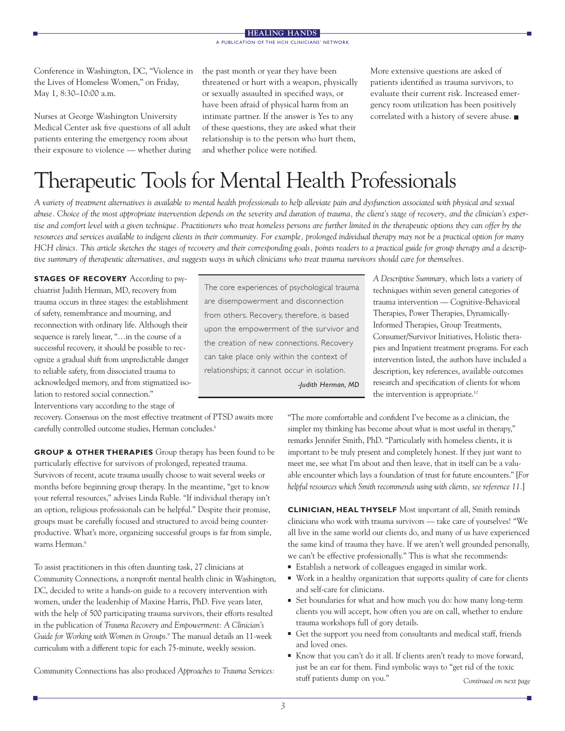Conference in Washington, DC, "Violence in the Lives of Homeless Women," on Friday, May 1, 8:30–10:00 a.m.

Nurses at George Washington University Medical Center ask five questions of all adult patients entering the emergency room about their exposure to violence — whether during the past month or year they have been threatened or hurt with a weapon, physically or sexually assaulted in specified ways, or have been afraid of physical harm from an intimate partner. If the answer is Yes to any of these questions, they are asked what their relationship is to the person who hurt them, and whether police were notified.

More extensive questions are asked of patients identified as trauma survivors, to evaluate their current risk. Increased emergency room utilization has been positively correlated with a history of severe abuse. ■

## Therapeutic Tools for Mental Health Professionals

*A variety of treatment alternatives is available to mental health professionals to help alleviate pain and dysfunction associated with physical and sexual abuse. Choice of the most appropriate intervention depends on the severity and duration of trauma, the client's stage of recovery, and the clinician's expertise and comfort level with a given technique. Practitioners who treat homeless persons are further limited in the therapeutic options they can offer by the resources and services available to indigent clients in their community. For example, prolonged individual therapy may not be a practical option for many HCH clinics. This article sketches the stages of recovery and their corresponding goals, points readers to a practical guide for group therapy and a descriptive summary of therapeutic alternatives, and suggests ways in which clinicians who treat trauma survivors should care for themselves.*

**STAGES OF RECOVERY** According to psychiatrist Judith Herman, MD, recovery from trauma occurs in three stages: the establishment of safety, remembrance and mourning, and reconnection with ordinary life. Although their sequence is rarely linear, "…in the course of a successful recovery, it should be possible to recognize a gradual shift from unpredictable danger to reliable safety, from dissociated trauma to acknowledged memory, and from stigmatized isolation to restored social connection." Interventions vary according to the stage of

recovery. Consensus on the most effective treatment of PTSD awaits more carefully controlled outcome studies, Herman concludes.<sup>6</sup>

**GROUP & OTHER THERAPIES** Group therapy has been found to be particularly effective for survivors of prolonged, repeated trauma. Survivors of recent, acute trauma usually choose to wait several weeks or months before beginning group therapy. In the meantime, "get to know your referral resources," advises Linda Ruble. "If individual therapy isn't an option, religious professionals can be helpful." Despite their promise, groups must be carefully focused and structured to avoid being counterproductive. What's more, organizing successful groups is far from simple, warns Herman.<sup>6</sup>

To assist practitioners in this often daunting task, 27 clinicians at Community Connections, a nonprofit mental health clinic in Washington, DC, decided to write a hands-on guide to a recovery intervention with women, under the leadership of Maxine Harris, PhD. Five years later, with the help of 500 participating trauma survivors, their efforts resulted in the publication of *Trauma Recovery and Empowerment: A Clinician's Guide for Working with Women in Groups*. <sup>9</sup> The manual details an 11-week curriculum with a different topic for each 75-minute, weekly session.

Community Connections has also produced *Approaches to Trauma Services:*

The core experiences of psychological trauma are disempowerment and disconnection from others. Recovery, therefore, is based upon the empowerment of the survivor and the creation of new connections. Recovery can take place only within the context of relationships; it cannot occur in isolation.

*-Judith Herman, MD*

*A Descriptive Summary,* which lists a variety of techniques within seven general categories of trauma intervention — Cognitive-Behavioral Therapies, Power Therapies, Dynamically-Informed Therapies, Group Treatments, Consumer/Survivor Initiatives, Holistic therapies and Inpatient treatment programs. For each intervention listed, the authors have included a description, key references, available outcomes research and specification of clients for whom the intervention is appropriate.<sup>10</sup>

"The more comfortable and confident I've become as a clinician, the simpler my thinking has become about what is most useful in therapy," remarks Jennifer Smith, PhD. "Particularly with homeless clients, it is important to be truly present and completely honest. If they just want to meet me, see what I'm about and then leave, that in itself can be a valuable encounter which lays a foundation of trust for future encounters." [*For helpful resources which Smith recommends using with clients, see reference 11.*]

**CLINICIAN, HEAL THYSELF** Most important of all, Smith reminds clinicians who work with trauma survivors — take care of yourselves! "We all live in the same world our clients do, and many of us have experienced the same kind of trauma they have. If we aren't well grounded personally, we can't be effective professionally." This is what she recommends:

- Establish a network of colleagues engaged in similar work.
- Work in a healthy organization that supports quality of care for clients and self-care for clinicians.
- Set boundaries for what and how much you do: how many long-term clients you will accept, how often you are on call, whether to endure trauma workshops full of gory details.
- Get the support you need from consultants and medical staff, friends and loved ones.
- Know that you can't do it all. If clients aren't ready to move forward, just be an ear for them. Find symbolic ways to "get rid of the toxic stuff patients dump on you."